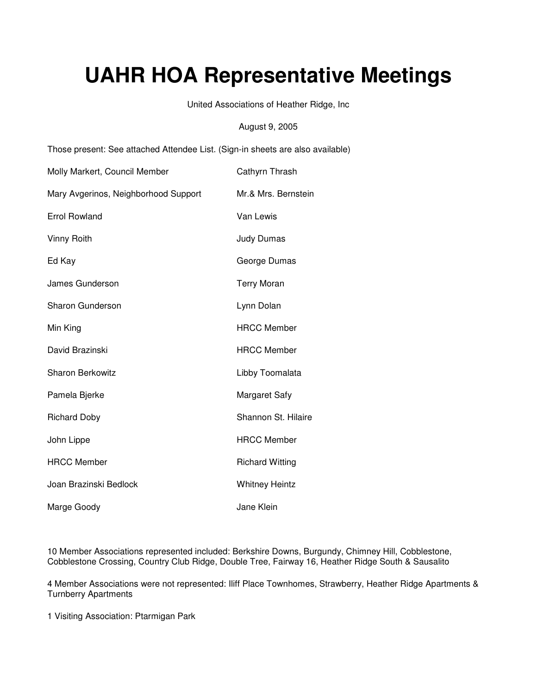# **UAHR HOA Representative Meetings**

United Associations of Heather Ridge, Inc

August 9, 2005

Those present: See attached Attendee List. (Sign-in sheets are also available)

| Molly Markert, Council Member        | Cathyrn Thrash         |
|--------------------------------------|------------------------|
| Mary Avgerinos, Neighborhood Support | Mr.& Mrs. Bernstein    |
| <b>Errol Rowland</b>                 | Van Lewis              |
| Vinny Roith                          | <b>Judy Dumas</b>      |
| Ed Kay                               | George Dumas           |
| James Gunderson                      | <b>Terry Moran</b>     |
| <b>Sharon Gunderson</b>              | Lynn Dolan             |
| Min King                             | <b>HRCC Member</b>     |
| David Brazinski                      | <b>HRCC Member</b>     |
| <b>Sharon Berkowitz</b>              | Libby Toomalata        |
| Pamela Bjerke                        | <b>Margaret Safy</b>   |
| <b>Richard Doby</b>                  | Shannon St. Hilaire    |
| John Lippe                           | <b>HRCC Member</b>     |
| <b>HRCC Member</b>                   | <b>Richard Witting</b> |
| Joan Brazinski Bedlock               | <b>Whitney Heintz</b>  |
| Marge Goody                          | Jane Klein             |

10 Member Associations represented included: Berkshire Downs, Burgundy, Chimney Hill, Cobblestone, Cobblestone Crossing, Country Club Ridge, Double Tree, Fairway 16, Heather Ridge South & Sausalito

4 Member Associations were not represented: Iliff Place Townhomes, Strawberry, Heather Ridge Apartments & Turnberry Apartments

1 Visiting Association: Ptarmigan Park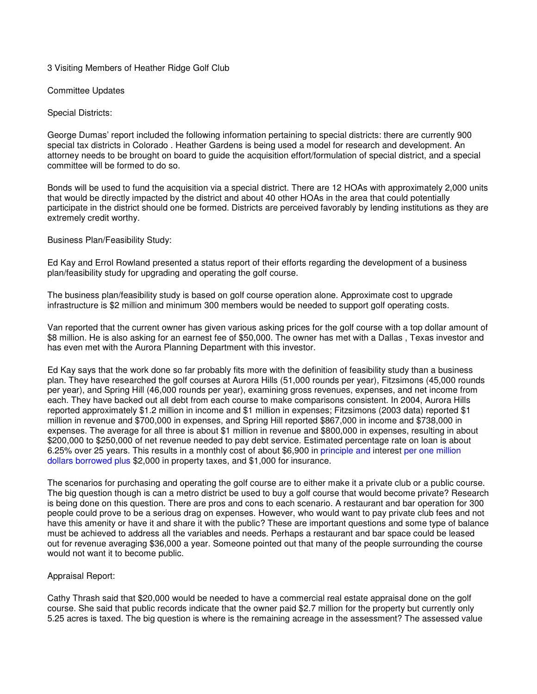# 3 Visiting Members of Heather Ridge Golf Club

Committee Updates

Special Districts:

George Dumas' report included the following information pertaining to special districts: there are currently 900 special tax districts in Colorado . Heather Gardens is being used a model for research and development. An attorney needs to be brought on board to guide the acquisition effort/formulation of special district, and a special committee will be formed to do so.

Bonds will be used to fund the acquisition via a special district. There are 12 HOAs with approximately 2,000 units that would be directly impacted by the district and about 40 other HOAs in the area that could potentially participate in the district should one be formed. Districts are perceived favorably by lending institutions as they are extremely credit worthy.

Business Plan/Feasibility Study:

Ed Kay and Errol Rowland presented a status report of their efforts regarding the development of a business plan/feasibility study for upgrading and operating the golf course.

The business plan/feasibility study is based on golf course operation alone. Approximate cost to upgrade infrastructure is \$2 million and minimum 300 members would be needed to support golf operating costs.

Van reported that the current owner has given various asking prices for the golf course with a top dollar amount of \$8 million. He is also asking for an earnest fee of \$50,000. The owner has met with a Dallas , Texas investor and has even met with the Aurora Planning Department with this investor.

Ed Kay says that the work done so far probably fits more with the definition of feasibility study than a business plan. They have researched the golf courses at Aurora Hills (51,000 rounds per year), Fitzsimons (45,000 rounds per year), and Spring Hill (46,000 rounds per year), examining gross revenues, expenses, and net income from each. They have backed out all debt from each course to make comparisons consistent. In 2004, Aurora Hills reported approximately \$1.2 million in income and \$1 million in expenses; Fitzsimons (2003 data) reported \$1 million in revenue and \$700,000 in expenses, and Spring Hill reported \$867,000 in income and \$738,000 in expenses. The average for all three is about \$1 million in revenue and \$800,000 in expenses, resulting in about \$200,000 to \$250,000 of net revenue needed to pay debt service. Estimated percentage rate on loan is about 6.25% over 25 years. This results in a monthly cost of about \$6,900 in principle and interest per one million dollars borrowed plus \$2,000 in property taxes, and \$1,000 for insurance.

The scenarios for purchasing and operating the golf course are to either make it a private club or a public course. The big question though is can a metro district be used to buy a golf course that would become private? Research is being done on this question. There are pros and cons to each scenario. A restaurant and bar operation for 300 people could prove to be a serious drag on expenses. However, who would want to pay private club fees and not have this amenity or have it and share it with the public? These are important questions and some type of balance must be achieved to address all the variables and needs. Perhaps a restaurant and bar space could be leased out for revenue averaging \$36,000 a year. Someone pointed out that many of the people surrounding the course would not want it to become public.

# Appraisal Report:

Cathy Thrash said that \$20,000 would be needed to have a commercial real estate appraisal done on the golf course. She said that public records indicate that the owner paid \$2.7 million for the property but currently only 5.25 acres is taxed. The big question is where is the remaining acreage in the assessment? The assessed value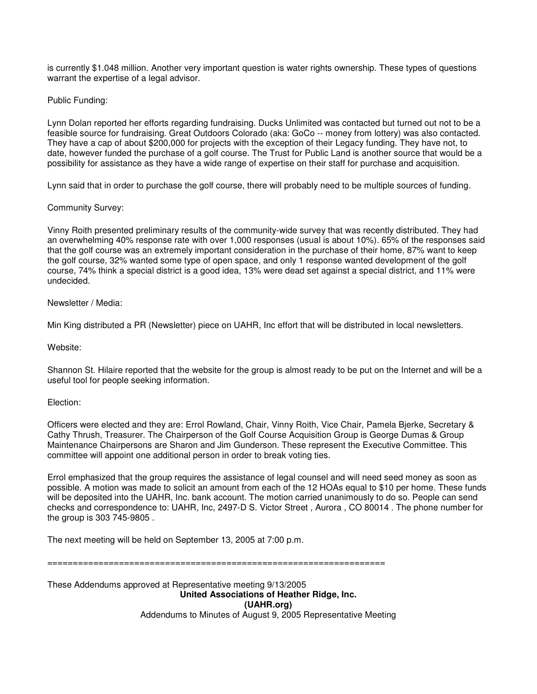is currently \$1.048 million. Another very important question is water rights ownership. These types of questions warrant the expertise of a legal advisor.

Public Funding:

Lynn Dolan reported her efforts regarding fundraising. Ducks Unlimited was contacted but turned out not to be a feasible source for fundraising. Great Outdoors Colorado (aka: GoCo -- money from lottery) was also contacted. They have a cap of about \$200,000 for projects with the exception of their Legacy funding. They have not, to date, however funded the purchase of a golf course. The Trust for Public Land is another source that would be a possibility for assistance as they have a wide range of expertise on their staff for purchase and acquisition.

Lynn said that in order to purchase the golf course, there will probably need to be multiple sources of funding.

# Community Survey:

Vinny Roith presented preliminary results of the community-wide survey that was recently distributed. They had an overwhelming 40% response rate with over 1,000 responses (usual is about 10%). 65% of the responses said that the golf course was an extremely important consideration in the purchase of their home, 87% want to keep the golf course, 32% wanted some type of open space, and only 1 response wanted development of the golf course, 74% think a special district is a good idea, 13% were dead set against a special district, and 11% were undecided.

# Newsletter / Media:

Min King distributed a PR (Newsletter) piece on UAHR, Inc effort that will be distributed in local newsletters.

## Website:

Shannon St. Hilaire reported that the website for the group is almost ready to be put on the Internet and will be a useful tool for people seeking information.

## Election:

Officers were elected and they are: Errol Rowland, Chair, Vinny Roith, Vice Chair, Pamela Bjerke, Secretary & Cathy Thrush, Treasurer. The Chairperson of the Golf Course Acquisition Group is George Dumas & Group Maintenance Chairpersons are Sharon and Jim Gunderson. These represent the Executive Committee. This committee will appoint one additional person in order to break voting ties.

Errol emphasized that the group requires the assistance of legal counsel and will need seed money as soon as possible. A motion was made to solicit an amount from each of the 12 HOAs equal to \$10 per home. These funds will be deposited into the UAHR, Inc. bank account. The motion carried unanimously to do so. People can send checks and correspondence to: UAHR, Inc, 2497-D S. Victor Street , Aurora , CO 80014 . The phone number for the group is 303 745-9805 .

The next meeting will be held on September 13, 2005 at 7:00 p.m.

==================================================================

These Addendums approved at Representative meeting 9/13/2005 **United Associations of Heather Ridge, Inc. (UAHR.org)**  Addendums to Minutes of August 9, 2005 Representative Meeting